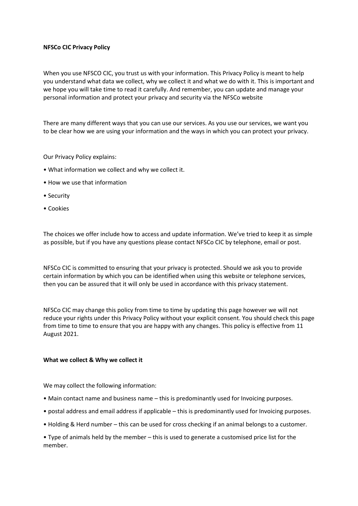## **NFSCo CIC Privacy Policy**

When you use NFSCO CIC, you trust us with your information. This Privacy Policy is meant to help you understand what data we collect, why we collect it and what we do with it. This is important and we hope you will take time to read it carefully. And remember, you can update and manage your personal information and protect your privacy and security via the NFSCo website

There are many different ways that you can use our services. As you use our services, we want you to be clear how we are using your information and the ways in which you can protect your privacy.

Our Privacy Policy explains:

- What information we collect and why we collect it.
- How we use that information
- Security
- Cookies

The choices we offer include how to access and update information. We've tried to keep it as simple as possible, but if you have any questions please contact NFSCo CIC by telephone, email or post.

NFSCo CIC is committed to ensuring that your privacy is protected. Should we ask you to provide certain information by which you can be identified when using this website or telephone services, then you can be assured that it will only be used in accordance with this privacy statement.

NFSCo CIC may change this policy from time to time by updating this page however we will not reduce your rights under this Privacy Policy without your explicit consent. You should check this page from time to time to ensure that you are happy with any changes. This policy is effective from 11 August 2021.

### **What we collect & Why we collect it**

We may collect the following information:

- Main contact name and business name this is predominantly used for Invoicing purposes.
- postal address and email address if applicable this is predominantly used for Invoicing purposes.
- Holding & Herd number this can be used for cross checking if an animal belongs to a customer.

• Type of animals held by the member – this is used to generate a customised price list for the member.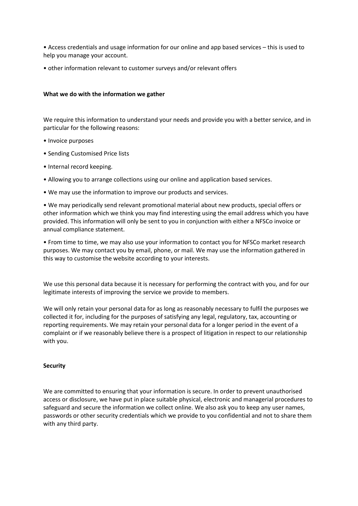• Access credentials and usage information for our online and app based services – this is used to help you manage your account.

• other information relevant to customer surveys and/or relevant offers

## **What we do with the information we gather**

We require this information to understand your needs and provide you with a better service, and in particular for the following reasons:

- Invoice purposes
- Sending Customised Price lists
- Internal record keeping.
- Allowing you to arrange collections using our online and application based services.
- We may use the information to improve our products and services.

• We may periodically send relevant promotional material about new products, special offers or other information which we think you may find interesting using the email address which you have provided. This information will only be sent to you in conjunction with either a NFSCo invoice or annual compliance statement.

• From time to time, we may also use your information to contact you for NFSCo market research purposes. We may contact you by email, phone, or mail. We may use the information gathered in this way to customise the website according to your interests.

We use this personal data because it is necessary for performing the contract with you, and for our legitimate interests of improving the service we provide to members.

We will only retain your personal data for as long as reasonably necessary to fulfil the purposes we collected it for, including for the purposes of satisfying any legal, regulatory, tax, accounting or reporting requirements. We may retain your personal data for a longer period in the event of a complaint or if we reasonably believe there is a prospect of litigation in respect to our relationship with you.

### **Security**

We are committed to ensuring that your information is secure. In order to prevent unauthorised access or disclosure, we have put in place suitable physical, electronic and managerial procedures to safeguard and secure the information we collect online. We also ask you to keep any user names, passwords or other security credentials which we provide to you confidential and not to share them with any third party.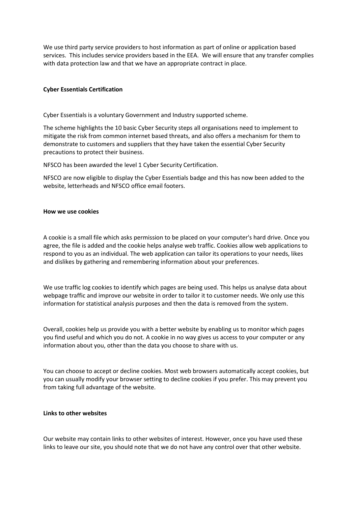We use third party service providers to host information as part of online or application based services. This includes service providers based in the EEA. We will ensure that any transfer complies with data protection law and that we have an appropriate contract in place.

## **Cyber Essentials Certification**

Cyber Essentials is a voluntary Government and Industry supported scheme.

The scheme highlights the 10 basic Cyber Security steps all organisations need to implement to mitigate the risk from common internet based threats, and also offers a mechanism for them to demonstrate to customers and suppliers that they have taken the essential Cyber Security precautions to protect their business.

NFSCO has been awarded the level 1 Cyber Security Certification.

NFSCO are now eligible to display the Cyber Essentials badge and this has now been added to the website, letterheads and NFSCO office email footers.

#### **How we use cookies**

A cookie is a small file which asks permission to be placed on your computer's hard drive. Once you agree, the file is added and the cookie helps analyse web traffic. Cookies allow web applications to respond to you as an individual. The web application can tailor its operations to your needs, likes and dislikes by gathering and remembering information about your preferences.

We use traffic log cookies to identify which pages are being used. This helps us analyse data about webpage traffic and improve our website in order to tailor it to customer needs. We only use this information for statistical analysis purposes and then the data is removed from the system.

Overall, cookies help us provide you with a better website by enabling us to monitor which pages you find useful and which you do not. A cookie in no way gives us access to your computer or any information about you, other than the data you choose to share with us.

You can choose to accept or decline cookies. Most web browsers automatically accept cookies, but you can usually modify your browser setting to decline cookies if you prefer. This may prevent you from taking full advantage of the website.

### **Links to other websites**

Our website may contain links to other websites of interest. However, once you have used these links to leave our site, you should note that we do not have any control over that other website.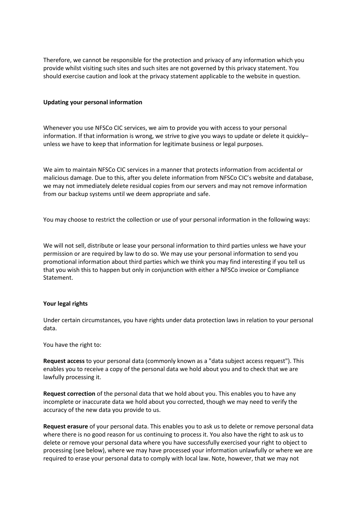Therefore, we cannot be responsible for the protection and privacy of any information which you provide whilst visiting such sites and such sites are not governed by this privacy statement. You should exercise caution and look at the privacy statement applicable to the website in question.

## **Updating your personal information**

Whenever you use NFSCo CIC services, we aim to provide you with access to your personal information. If that information is wrong, we strive to give you ways to update or delete it quickly– unless we have to keep that information for legitimate business or legal purposes.

We aim to maintain NFSCo CIC services in a manner that protects information from accidental or malicious damage. Due to this, after you delete information from NFSCo CIC's website and database, we may not immediately delete residual copies from our servers and may not remove information from our backup systems until we deem appropriate and safe.

You may choose to restrict the collection or use of your personal information in the following ways:

We will not sell, distribute or lease your personal information to third parties unless we have your permission or are required by law to do so. We may use your personal information to send you promotional information about third parties which we think you may find interesting if you tell us that you wish this to happen but only in conjunction with either a NFSCo invoice or Compliance Statement.

### **Your legal rights**

Under certain circumstances, you have rights under data protection laws in relation to your personal data.

### You have the right to:

**Request access** to your personal data (commonly known as a "data subject access request"). This enables you to receive a copy of the personal data we hold about you and to check that we are lawfully processing it.

**Request correction** of the personal data that we hold about you. This enables you to have any incomplete or inaccurate data we hold about you corrected, though we may need to verify the accuracy of the new data you provide to us.

**Request erasure** of your personal data. This enables you to ask us to delete or remove personal data where there is no good reason for us continuing to process it. You also have the right to ask us to delete or remove your personal data where you have successfully exercised your right to object to processing (see below), where we may have processed your information unlawfully or where we are required to erase your personal data to comply with local law. Note, however, that we may not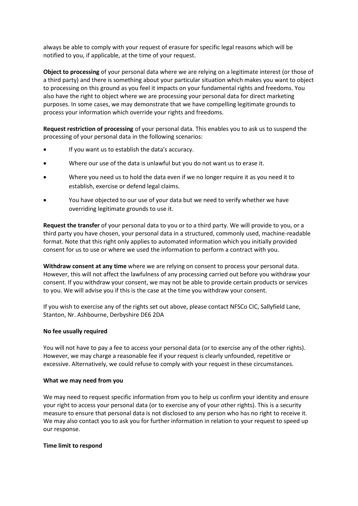always be able to comply with your request of erasure for specific legal reasons which will be notified to you, if applicable, at the time of your request.

**Object to processing** of your personal data where we are relying on a legitimate interest (or those of a third party) and there is something about your particular situation which makes you want to object to processing on this ground as you feel it impacts on your fundamental rights and freedoms. You also have the right to object where we are processing your personal data for direct marketing purposes. In some cases, we may demonstrate that we have compelling legitimate grounds to process your information which override your rights and freedoms.

**Request restriction of processing** of your personal data. This enables you to ask us to suspend the processing of your personal data in the following scenarios:

- If you want us to establish the data's accuracy.
- Where our use of the data is unlawful but you do not want us to erase it.
- Where you need us to hold the data even if we no longer require it as you need it to establish, exercise or defend legal claims.
- You have objected to our use of your data but we need to verify whether we have overriding legitimate grounds to use it.

**Request the transfer** of your personal data to you or to a third party. We will provide to you, or a third party you have chosen, your personal data in a structured, commonly used, machine-readable format. Note that this right only applies to automated information which you initially provided consent for us to use or where we used the information to perform a contract with you.

**Withdraw consent at any time** where we are relying on consent to process your personal data. However, this will not affect the lawfulness of any processing carried out before you withdraw your consent. If you withdraw your consent, we may not be able to provide certain products or services to you. We will advise you if this is the case at the time you withdraw your consent.

If you wish to exercise any of the rights set out above, please contact NFSCo CIC, Sallyfield Lane, Stanton, Nr. Ashbourne, Derbyshire DE6 2DA

# **No fee usually required**

You will not have to pay a fee to access your personal data (or to exercise any of the other rights). However, we may charge a reasonable fee if your request is clearly unfounded, repetitive or excessive. Alternatively, we could refuse to comply with your request in these circumstances.

### **What we may need from you**

We may need to request specific information from you to help us confirm your identity and ensure your right to access your personal data (or to exercise any of your other rights). This is a security measure to ensure that personal data is not disclosed to any person who has no right to receive it. We may also contact you to ask you for further information in relation to your request to speed up our response.

# **Time limit to respond**